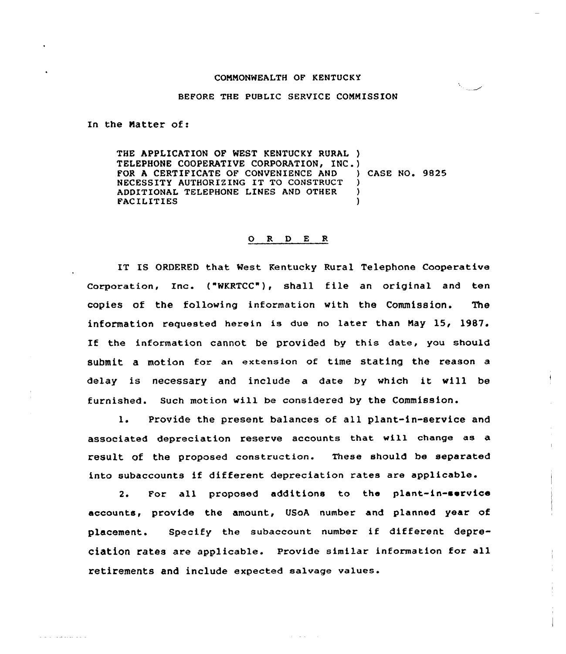## COMMONWEALTH OF KENTUCKY

المستندال

## BEFORE THE PUBLIC SERVICE COMMISSION

In the Matter of:

and construction of

THE APPLICATION OF WEST KENTUCKY RURAL ) TELEPHONE COOPERATIVE CORPORATION, INC.)<br>FOR A CERTIFICATE OF CONVENIENCE AND ) CASE NO. 9825 FOR A CERTIFICATE OF CONVENIENCE AND NECESSITY AUTHORIZING IT TO CONSTRUCT ) ADDITIONAL TELEPHONE LINES AND OTHER **FACILITIES** 

## ORDER

IT IS ORDERED that West Kentucky Rural Telephone Cooperative Corporation, Xnc. ("WKRTCC"), shell file an original and ten copies of the following information with the Commission. The information requested herein is due no later than May 15, 19B7. If the information cannot be provided by this date, you should submit a motion for an extension of time stating the reason a delay is necessary and include <sup>a</sup> date by which it will be furnished. Such motion will be considered by the Commission.

1. Provide the present balances of all plant-in-service and associated depreciation reserve accounts that vill change as a result of the proposed construction. These should be separated into subaccounts if different depreciation rates are applicable.

2. For all proposed additions to the plant-in-service accounts, provide the amount, USoA number and planned year of placement. Specify the subaccount number if different depreciation rates are applicable. Provide similar information for all retirements and include expected salvage values.

and a series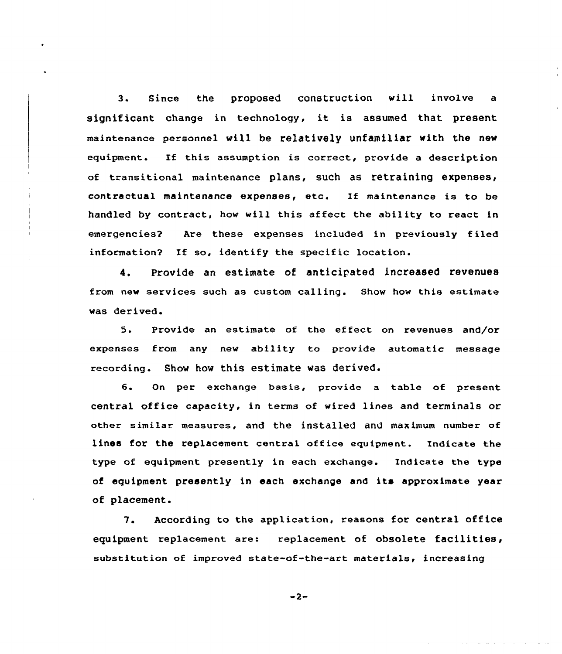3. Since the proposed construction will involve a significant change in technology, it is assumed that present maintenance personnel will be relatively unfamiliar with the new equipment. If this assumption is correct, provide a description of transitional maintenance plans, such as retraining expenses, contractual maintenance expenses, etc. Xf maintenance is to be handled by contract, how will this affect the ability to react in emergencies? Are these expenses included in previously filed information? If so, identify the specific location.

4. Provide an estimate of anticipated increased revenues from new services such as custom calling. Show how this estimate was derived.

5. Provide an estimate of the effect on revenues and/or expenses from any new ability to provide automatic message recording. Show how this estimate was derived.

6. On per exchange basis, provide a table of present central office capacity, in terms of wired lines and terminals or other similar measures, and the installed and maximum number of lines for the replacement central office equipment. Indicate the type of equipment presently in each exchange. Indicate the type of equipment presently in each exchange and its approximate year of placement.

7. According to the application, reasons for central office equipment replacement are: replacement of obsolete facilities, substitution of improved state-of-the-art materials, increasing

 $-2-$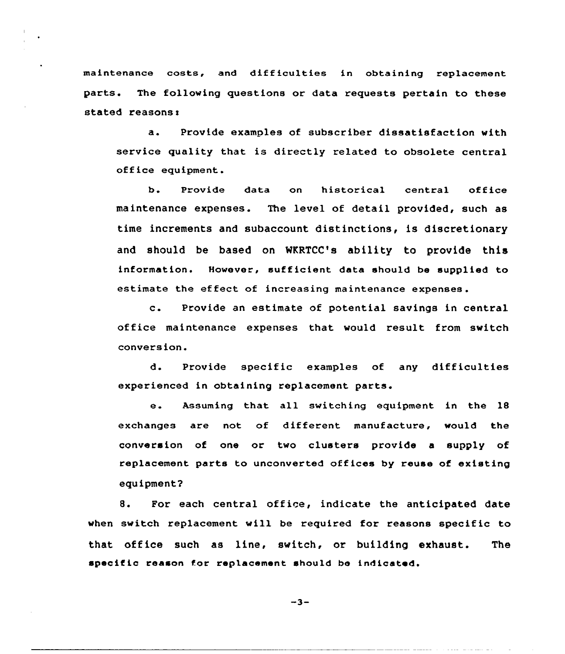maintenance costs, and difficulties in obtaining replacement parts. The following questions or data requests pertain to these stated reasons:

Provide examples of subscriber dissatisfaction with  $\mathbf{a}$ . service quality that is directly related to obsolete central office equipment.

b. Provide data on historical central office maintenance expenses. The level of detail provided, such as time increments and subaccount distinctions, is discretionary and should be based on MKRTCC's ability to provide this information. However, sufficient data should be supplied to estimate the effect cf increasing maintenance expenses.

c. Provide an estimate of potential savings in central office maintenance expenses that would result from svitch conversion.

d. Provide specific examples of any difficulties experienced in obtaining replacement parts.

e. Assuming that all switching equipment in the <sup>18</sup> exchanges are not of different manufacture, would the conversion of one or tvo clusters provide a supply of replacement parts to unconverted offices by reuse of existing equipment2

8. For each central office, indicate the anticipated date when svitch replacement vill be required for reasons specific to that office such as line, svitch, or building exhaust. The specific reason for replacement should be indicated.

 $-3-$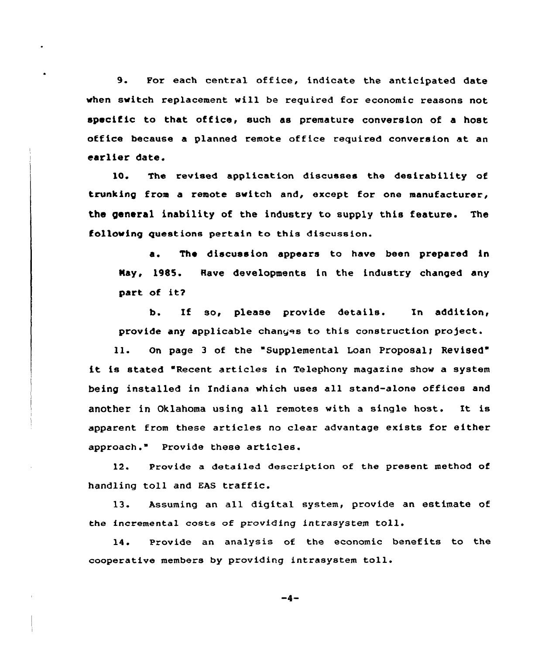9. For each central office, indicate the anticipated date vhen svitch replacement vill be required for economic reasons not specific to that office, such as premature conversion of a host office because a planned remote office required conversion at an earlier date.

10. The revised application discusses the desirability of trunking from a remote switch and, except for one manufacturer, the general inability of the industry to supply this feature. The folloving questions pertain to this discussion.

a. The discussion appears to have been prepared in Nay, 1985. Rave developments in the industry changed any part of it?

b. If so, please provide details. In addition, provide any applicable changes to this construction project.

ll. On page <sup>3</sup> of the Supplemental Loan Proposalr Revised" it is stated 'Recent articles in Telephony magazine shov <sup>a</sup> system being installed in Indiana which uses all stand-alone offices and another in Oklahoma using all remotes with a single host. It is apparent from these articles no clear advantage exists for either approach." Provide these articles.

12. Provide a detailed description of the present method of handling toll and EAS traffic.

13. Assuming an all digital system, provide an estimate of the incremental costs of providing intrasystem toll.

14. Provide an analysis of the economic benefits to the cooperative members by providing intrasystem toll.

 $-4-$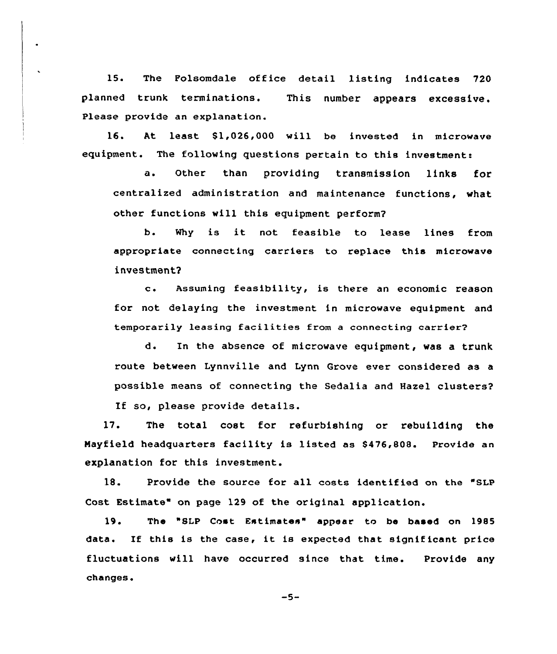15. The Folsomdale office detail listing indicates 720 planned trunk terminations. This number appears excessive. Please provide an explanation.

16. At least \$1,026,000 will be invested in microwave equipment. The following questions pertain to this investment:

a. Other than providing transmission links for centralized administration and maintenance functions, what other functions will this equipment perform?

b. Why is it not feasible to lease lines from appropriate cannecting carriers to replace this microwave investment?

c. Assuming feasibility, is there an economic reason for not delaying the investment in microwave equipment and temporarily leasing facilities from <sup>a</sup> connecting carrier?

d. In the absence of microwave equipment, was a trunk route between Lynnville and Lynn Grove ever considered as a possible means of connecting the Sedalia and Hazel clusters?

If so, please provide details.

17. The total cost for refurbishing or rebuilding the Mayfield headquarters facility is listed as \$476,808. Provide an explanation for this investment.

18. Provide the source for all costs identified on the "SLP Cost Estimate" on page 129 of the original application.

19. The "8LP Cost Estimates" appear ta ba based on 1985 data. If this is the case, it is expected that significant price fluctuations will have occurred since that time. Provide any changes.

 $-5-$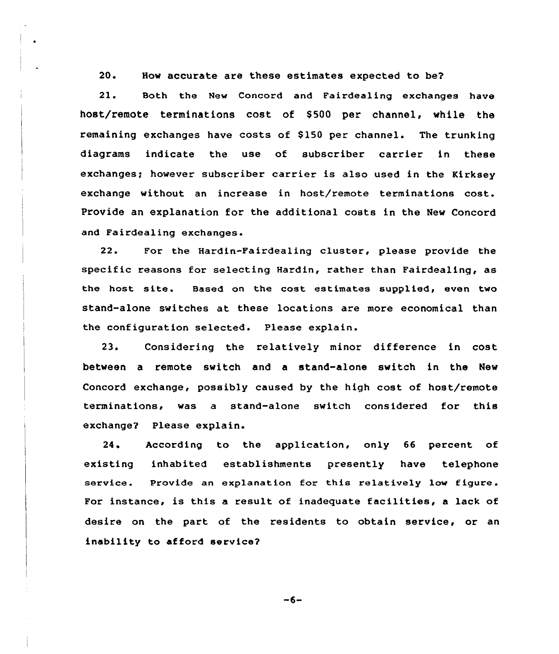20. How accurate are these estimates expected to be?

21. Both the New Concord and Fairdealing exchanges have host/remote terminations cost of S500 per channel, while the remaining exchanges have costs of \$150 per channel. The trunking diagrams indicate the use of subscriber carrier in these exchanges; however subscriber carrier is also used in the Kirksey exchange without an increase in host/remote terminations cost. Provide an explanation for the additional costs in the New Concord and Fairdealing exchanges.

22. For the Hardin-Fairdealing cluster, please provide the specific reasons for selecting Hardin, rather than Fairdealing, as the host site. Based on the cost estimates supplied, even two stand-alone switches at these locations are more economical than the configuration selected. Please explain.

23. Considering the relatively minor difference in cost between a remote switch and a stand-alone switch in the New Concord exchange, possibly caused by the high cost of host/remote terminations, was a stand-alone switch considered for this exchange? Please explain.

24. According to the application, only 66 percent of existing inhabited establishments presently have telephone service. Provide an explanation for this relatively low figure. For instance, is this <sup>a</sup> result of inadequate facilities, a lack of desire on the part of the residents to obtain service, or an inability to afford service?

 $-6-$